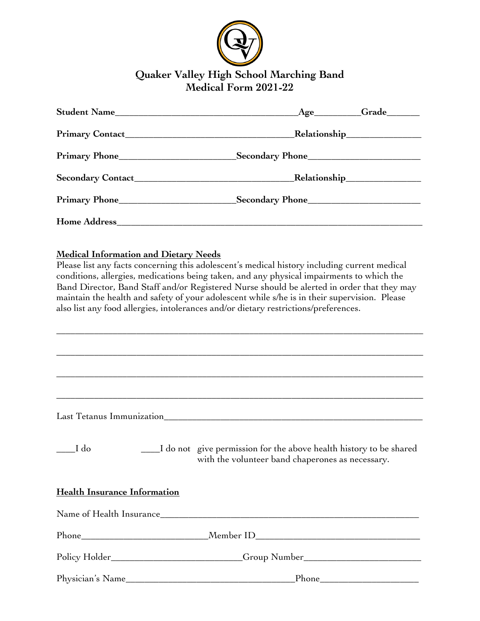

# **Quaker Valley High School Marching Band Medical Form 2021-22**

|                     | <b>Grade</b><br>$\c{Age}$           |
|---------------------|-------------------------------------|
|                     | <b>Relationship________________</b> |
|                     |                                     |
|                     |                                     |
| Primary Phone       | Secondary Phone                     |
| <b>Home Address</b> |                                     |

## **Medical Information and Dietary Needs**

Please list any facts concerning this adolescent's medical history including current medical conditions, allergies, medications being taken, and any physical impairments to which the Band Director, Band Staff and/or Registered Nurse should be alerted in order that they may maintain the health and safety of your adolescent while s/he is in their supervision. Please also list any food allergies, intolerances and/or dietary restrictions/preferences.

\_\_\_\_\_\_\_\_\_\_\_\_\_\_\_\_\_\_\_\_\_\_\_\_\_\_\_\_\_\_\_\_\_\_\_\_\_\_\_\_\_\_\_\_\_\_\_\_\_\_\_\_\_\_\_\_\_\_\_\_\_\_\_\_\_\_\_\_\_\_\_\_\_\_\_\_\_\_

\_\_\_\_\_\_\_\_\_\_\_\_\_\_\_\_\_\_\_\_\_\_\_\_\_\_\_\_\_\_\_\_\_\_\_\_\_\_\_\_\_\_\_\_\_\_\_\_\_\_\_\_\_\_\_\_\_\_\_\_\_\_\_\_\_\_\_\_\_\_\_\_\_\_\_\_\_\_

\_\_\_\_\_\_\_\_\_\_\_\_\_\_\_\_\_\_\_\_\_\_\_\_\_\_\_\_\_\_\_\_\_\_\_\_\_\_\_\_\_\_\_\_\_\_\_\_\_\_\_\_\_\_\_\_\_\_\_\_\_\_\_\_\_\_\_\_\_\_\_\_\_\_\_\_\_\_

\_\_\_\_\_\_\_\_\_\_\_\_\_\_\_\_\_\_\_\_\_\_\_\_\_\_\_\_\_\_\_\_\_\_\_\_\_\_\_\_\_\_\_\_\_\_\_\_\_\_\_\_\_\_\_\_\_\_\_\_\_\_\_\_\_\_\_\_\_\_\_\_\_\_\_\_\_\_

Last Tetanus Immunization\_\_\_\_\_\_\_\_\_\_\_\_\_\_\_\_\_\_\_\_\_\_\_\_\_\_\_\_\_\_\_\_\_\_\_\_\_\_\_\_\_\_\_\_\_\_\_\_\_\_\_\_\_\_\_

\_\_\_\_I do \_\_\_\_I do not give permission for the above health history to be shared with the volunteer band chaperones as necessary.

## **Health Insurance Information**

| Name of Health Insurance_ | <u> 1980 - Jan Barat, margaret al II-lea (h. 1980).</u>                          |
|---------------------------|----------------------------------------------------------------------------------|
|                           |                                                                                  |
|                           | Policy Holder_________________________Group Number______________________________ |
| Physician's Name          |                                                                                  |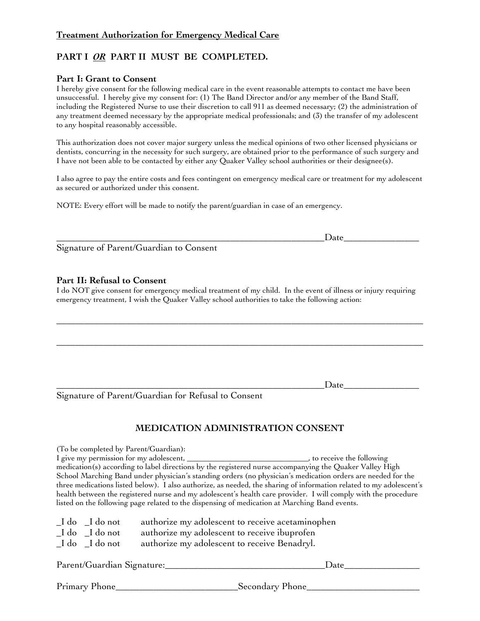## **Treatment Authorization for Emergency Medical Care**

## **PART I** *OR* **PART II MUST BE COMPLETED.**

#### **Part I: Grant to Consent**

I hereby give consent for the following medical care in the event reasonable attempts to contact me have been unsuccessful. I hereby give my consent for: (1) The Band Director and/or any member of the Band Staff, including the Registered Nurse to use their discretion to call 911 as deemed necessary; (2) the administration of any treatment deemed necessary by the appropriate medical professionals; and (3) the transfer of my adolescent to any hospital reasonably accessible.

This authorization does not cover major surgery unless the medical opinions of two other licensed physicians or dentists, concurring in the necessity for such surgery, are obtained prior to the performance of such surgery and I have not been able to be contacted by either any Quaker Valley school authorities or their designee(s).

I also agree to pay the entire costs and fees contingent on emergency medical care or treatment for my adolescent as secured or authorized under this consent.

NOTE: Every effort will be made to notify the parent/guardian in case of an emergency.

\_\_\_\_\_\_\_\_\_\_\_\_\_\_\_\_\_\_\_\_\_\_\_\_\_\_\_\_\_\_\_\_\_\_\_\_\_\_\_\_\_\_\_\_\_\_\_\_\_\_\_\_\_\_\_\_\_Date\_\_\_\_\_\_\_\_\_\_\_\_\_\_\_\_

Signature of Parent/Guardian to Consent

### **Part II: Refusal to Consent**

I do NOT give consent for emergency medical treatment of my child. In the event of illness or injury requiring emergency treatment, I wish the Quaker Valley school authorities to take the following action:

\_\_\_\_\_\_\_\_\_\_\_\_\_\_\_\_\_\_\_\_\_\_\_\_\_\_\_\_\_\_\_\_\_\_\_\_\_\_\_\_\_\_\_\_\_\_\_\_\_\_\_\_\_\_\_\_\_\_\_\_\_\_\_\_\_\_\_\_\_\_\_\_\_\_\_\_\_\_

\_\_\_\_\_\_\_\_\_\_\_\_\_\_\_\_\_\_\_\_\_\_\_\_\_\_\_\_\_\_\_\_\_\_\_\_\_\_\_\_\_\_\_\_\_\_\_\_\_\_\_\_\_\_\_\_\_\_\_\_\_\_\_\_\_\_\_\_\_\_\_\_\_\_\_\_\_\_

\_\_\_\_\_\_\_\_\_\_\_\_\_\_\_\_\_\_\_\_\_\_\_\_\_\_\_\_\_\_\_\_\_\_\_\_\_\_\_\_\_\_\_\_\_\_\_\_\_\_\_\_\_\_\_\_\_Date\_\_\_\_\_\_\_\_\_\_\_\_\_\_\_\_

Signature of Parent/Guardian for Refusal to Consent

## **MEDICATION ADMINISTRATION CONSENT**

(To be completed by Parent/Guardian): I give my permission for my adolescent, \_\_\_\_\_\_\_\_\_\_\_\_\_\_\_\_\_\_\_\_\_\_\_\_\_\_\_\_\_\_\_\_\_\_, to receive the following medication(s) according to label directions by the registered nurse accompanying the Quaker Valley High School Marching Band under physician's standing orders (no physician's medication orders are needed for the three medications listed below). I also authorize, as needed, the sharing of information related to my adolescent's health between the registered nurse and my adolescent's health care provider. I will comply with the procedure listed on the following page related to the dispensing of medication at Marching Band events. \_I do \_I do not authorize my adolescent to receive acetaminophen \_I do \_I do not authorize my adolescent to receive ibuprofen

\_I do \_I do not authorize my adolescent to receive Benadryl.

| Parent/Guardian Signature: | Date            |
|----------------------------|-----------------|
| Primary Phone              | Secondary Phone |